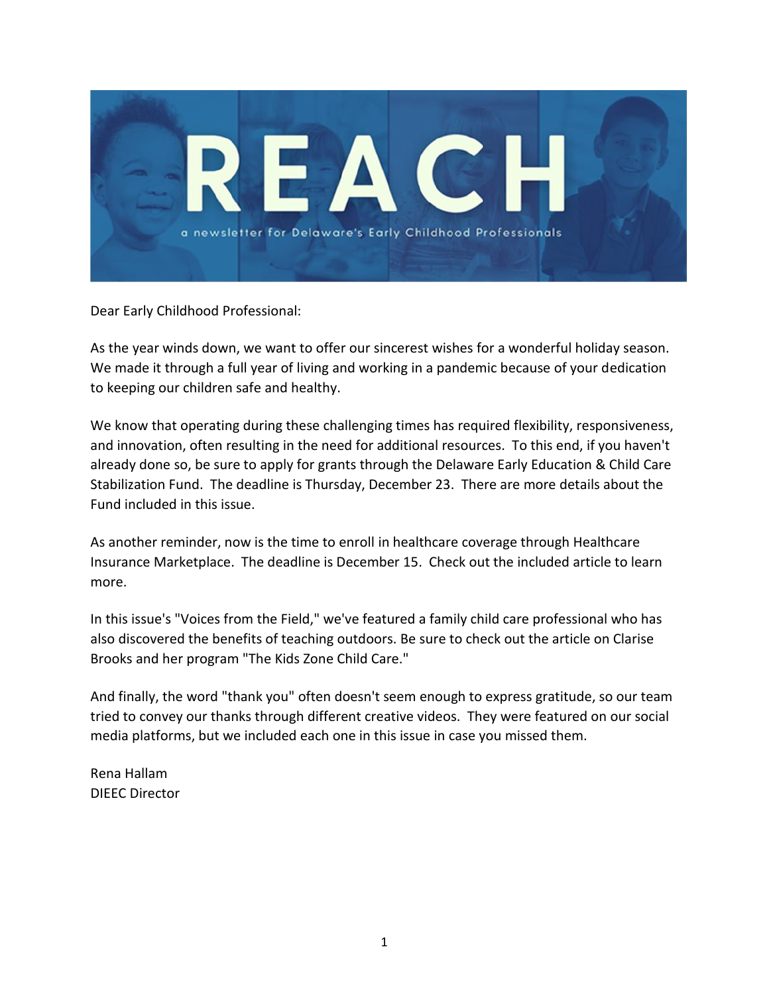

Dear Early Childhood Professional:

As the year winds down, we want to offer our sincerest wishes for a wonderful holiday season. We made it through a full year of living and working in a pandemic because of your dedication to keeping our children safe and healthy.

We know that operating during these challenging times has required flexibility, responsiveness, and innovation, often resulting in the need for additional resources. To this end, if you haven't already done so, be sure to apply for grants through the Delaware Early Education & Child Care Stabilization Fund. The deadline is Thursday, December 23. There are more details about the Fund included in this issue.

As another reminder, now is the time to enroll in healthcare coverage through Healthcare Insurance Marketplace. The deadline is December 15. Check out the included article to learn more.

In this issue's "Voices from the Field," we've featured a family child care professional who has also discovered the benefits of teaching outdoors. Be sure to check out the article on Clarise Brooks and her program "The Kids Zone Child Care."

And finally, the word "thank you" often doesn't seem enough to express gratitude, so our team tried to convey our thanks through different creative videos. They were featured on our social media platforms, but we included each one in this issue in case you missed them.

Rena Hallam DIEEC Director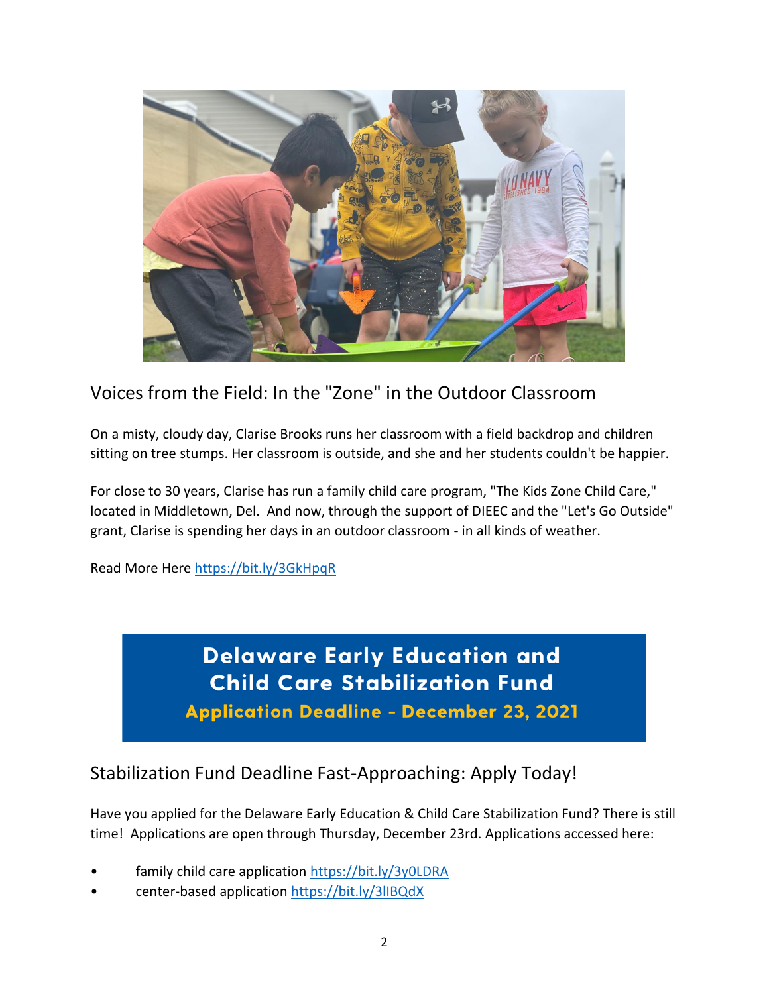

### Voices from the Field: In the "Zone" in the Outdoor Classroom

On a misty, cloudy day, Clarise Brooks runs her classroom with a field backdrop and children sitting on tree stumps. Her classroom is outside, and she and her students couldn't be happier.

For close to 30 years, Clarise has run a family child care program, "The Kids Zone Child Care," located in Middletown, Del. And now, through the support of DIEEC and the "Let's Go Outside" grant, Clarise is spending her days in an outdoor classroom - in all kinds of weather.

Read More Here<https://bit.ly/3GkHpqR>

**Delaware Early Education and Child Care Stabilization Fund Application Deadline - December 23, 2021** 

#### Stabilization Fund Deadline Fast-Approaching: Apply Today!

Have you applied for the Delaware Early Education & Child Care Stabilization Fund? There is still time! Applications are open through Thursday, December 23rd. Applications accessed here:

- family child care application<https://bit.ly/3y0LDRA>
- center-based applicatio[n https://bit.ly/3lIBQdX](https://bit.ly/3lIBQdX)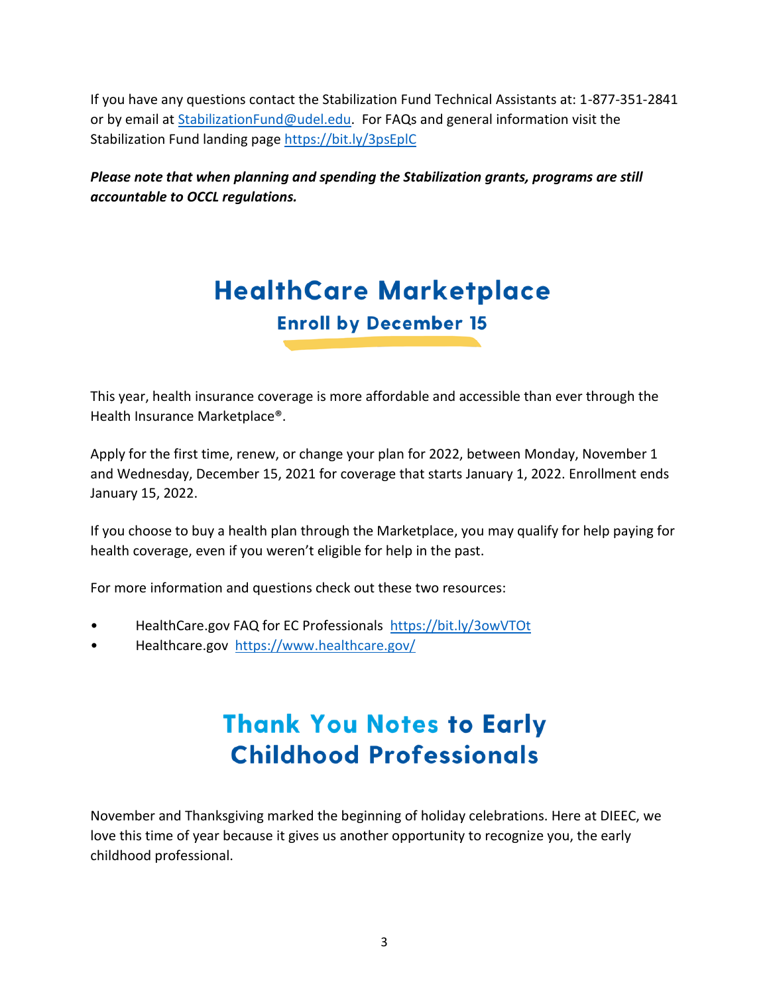If you have any questions contact the Stabilization Fund Technical Assistants at: 1-877-351-2841 or by email at [StabilizationFund@udel.edu.](mailto:StabilizationFund@udel.edu) For FAQs and general information visit the Stabilization Fund landing page<https://bit.ly/3psEplC>

*Please note that when planning and spending the Stabilization grants, programs are still accountable to OCCL regulations.*

# **HealthCare Marketplace Enroll by December 15**

This year, health insurance coverage is more affordable and accessible than ever through the Health Insurance Marketplace®.

Apply for the first time, renew, or change your plan for 2022, between Monday, November 1 and Wednesday, December 15, 2021 for coverage that starts January 1, 2022. Enrollment ends January 15, 2022.

If you choose to buy a health plan through the Marketplace, you may qualify for help paying for health coverage, even if you weren't eligible for help in the past.

For more information and questions check out these two resources:

- HealthCare.gov FAQ for EC Professionals <https://bit.ly/3owVTOt>
- Healthcare.gov <https://www.healthcare.gov/>

## **Thank You Notes to Early Childhood Professionals**

November and Thanksgiving marked the beginning of holiday celebrations. Here at DIEEC, we love this time of year because it gives us another opportunity to recognize you, the early childhood professional.